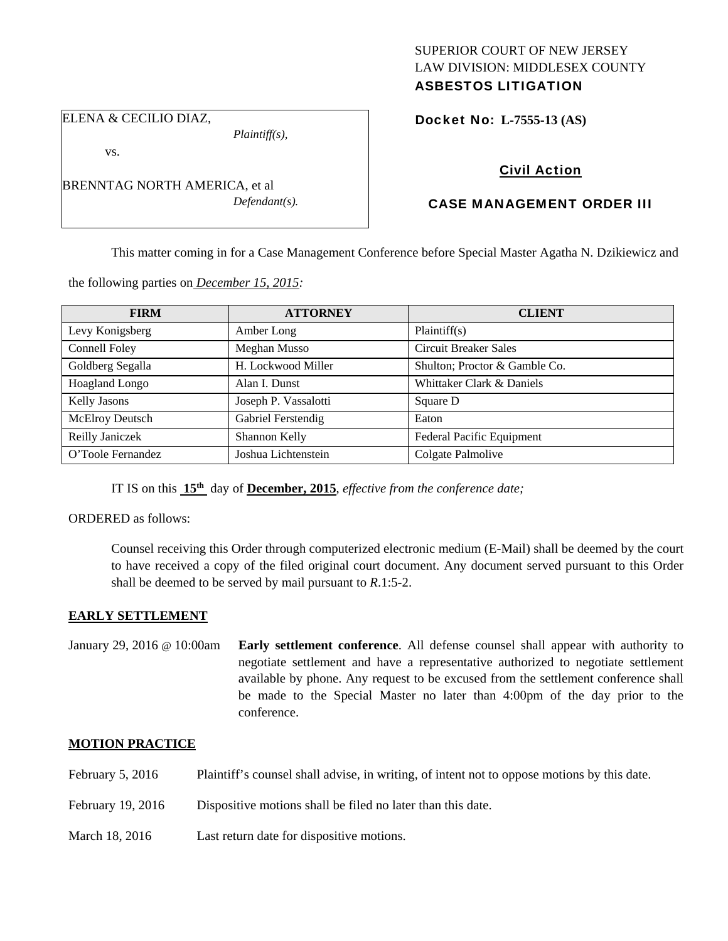## SUPERIOR COURT OF NEW JERSEY LAW DIVISION: MIDDLESEX COUNTY ASBESTOS LITIGATION

ELENA & CECILIO DIAZ,

*Plaintiff(s),* 

vs.

BRENNTAG NORTH AMERICA, et al *Defendant(s).*  Docket No: **L-7555-13 (AS)** 

# Civil Action

## CASE MANAGEMENT ORDER III

This matter coming in for a Case Management Conference before Special Master Agatha N. Dzikiewicz and

the following parties on *December 15, 2015:* 

| <b>FIRM</b>          | <b>ATTORNEY</b>      | <b>CLIENT</b>                 |
|----------------------|----------------------|-------------------------------|
| Levy Konigsberg      | Amber Long           | Plaintiff(s)                  |
| <b>Connell Foley</b> | Meghan Musso         | <b>Circuit Breaker Sales</b>  |
| Goldberg Segalla     | H. Lockwood Miller   | Shulton; Proctor & Gamble Co. |
| Hoagland Longo       | Alan I. Dunst        | Whittaker Clark & Daniels     |
| <b>Kelly Jasons</b>  | Joseph P. Vassalotti | Square D                      |
| McElroy Deutsch      | Gabriel Ferstendig   | Eaton                         |
| Reilly Janiczek      | Shannon Kelly        | Federal Pacific Equipment     |
| O'Toole Fernandez    | Joshua Lichtenstein  | Colgate Palmolive             |

IT IS on this **15th** day of **December, 2015**, *effective from the conference date;*

ORDERED as follows:

Counsel receiving this Order through computerized electronic medium (E-Mail) shall be deemed by the court to have received a copy of the filed original court document. Any document served pursuant to this Order shall be deemed to be served by mail pursuant to *R*.1:5-2.

## **EARLY SETTLEMENT**

January 29, 2016 @ 10:00am **Early settlement conference**. All defense counsel shall appear with authority to negotiate settlement and have a representative authorized to negotiate settlement available by phone. Any request to be excused from the settlement conference shall be made to the Special Master no later than 4:00pm of the day prior to the conference.

## **MOTION PRACTICE**

- February 5, 2016 Plaintiff's counsel shall advise, in writing, of intent not to oppose motions by this date.
- February 19, 2016 Dispositive motions shall be filed no later than this date.
- March 18, 2016 Last return date for dispositive motions.